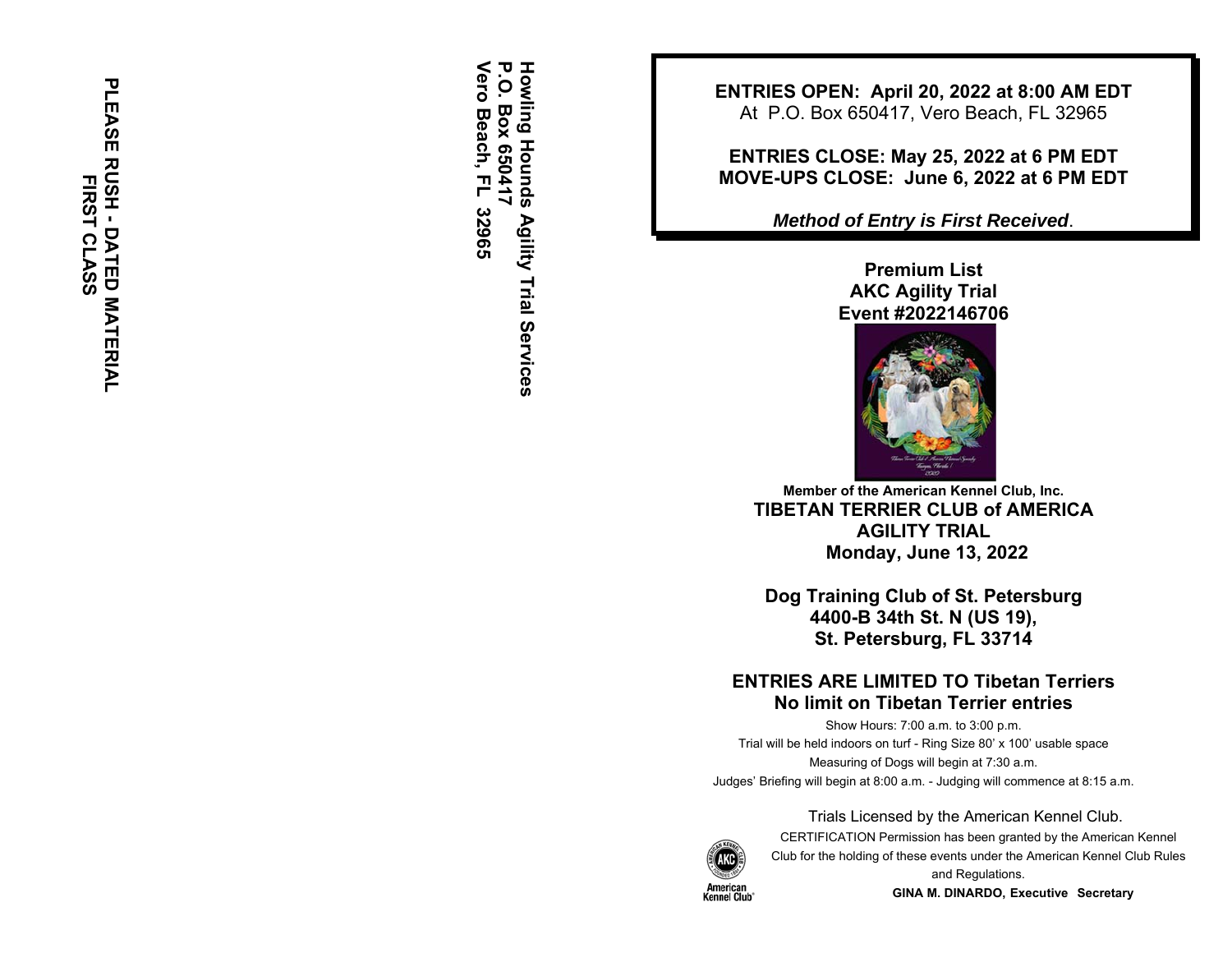Vero Beach, FL **Vero Beach, FL 32965**  P.O. Box 650417 **P.O. Box 650417 Howling Hounds Agility Trial Services Howling Hounds Agility Trial Services**  329655

**ENTRIES OPEN: April 20, 2022 at 8:00 AM EDT**  At P.O. Box 650417, Vero Beach, FL 32965

**ENTRIES CLOSE: May 25, 2022 at 6 PM EDT MOVE-UPS CLOSE: June 6, 2022 at 6 PM EDT** 

*Method of Entry is First Received*.

**Premium List AKC Agility Trial Event #2022146706** 



**Member of the American Kennel Club, Inc. TIBETAN TERRIER CLUB of AMERICA AGILITY TRIAL Monday, June 13, 2022** 

**Dog Training Club of St. Petersburg 4400-B 34th St. N (US 19), St. Petersburg, FL 33714** 

# **ENTRIES ARE LIMITED TO Tibetan Terriers No limit on Tibetan Terrier entries**

Show Hours: 7:00 a.m. to 3:00 p.m. Trial will be held indoors on turf - Ring Size 80' x 100' usable space Measuring of Dogs will begin at 7:30 a.m. Judges' Briefing will begin at 8:00 a.m. - Judging will commence at 8:15 a.m.

Trials Licensed by the American Kennel Club.



CERTIFICATION Permission has been granted by the American Kennel Club for the holding of these events under the American Kennel Club Rules and Regulations.

American<br>Kennel Club

**GINA M. DINARDO, Executive Secretary**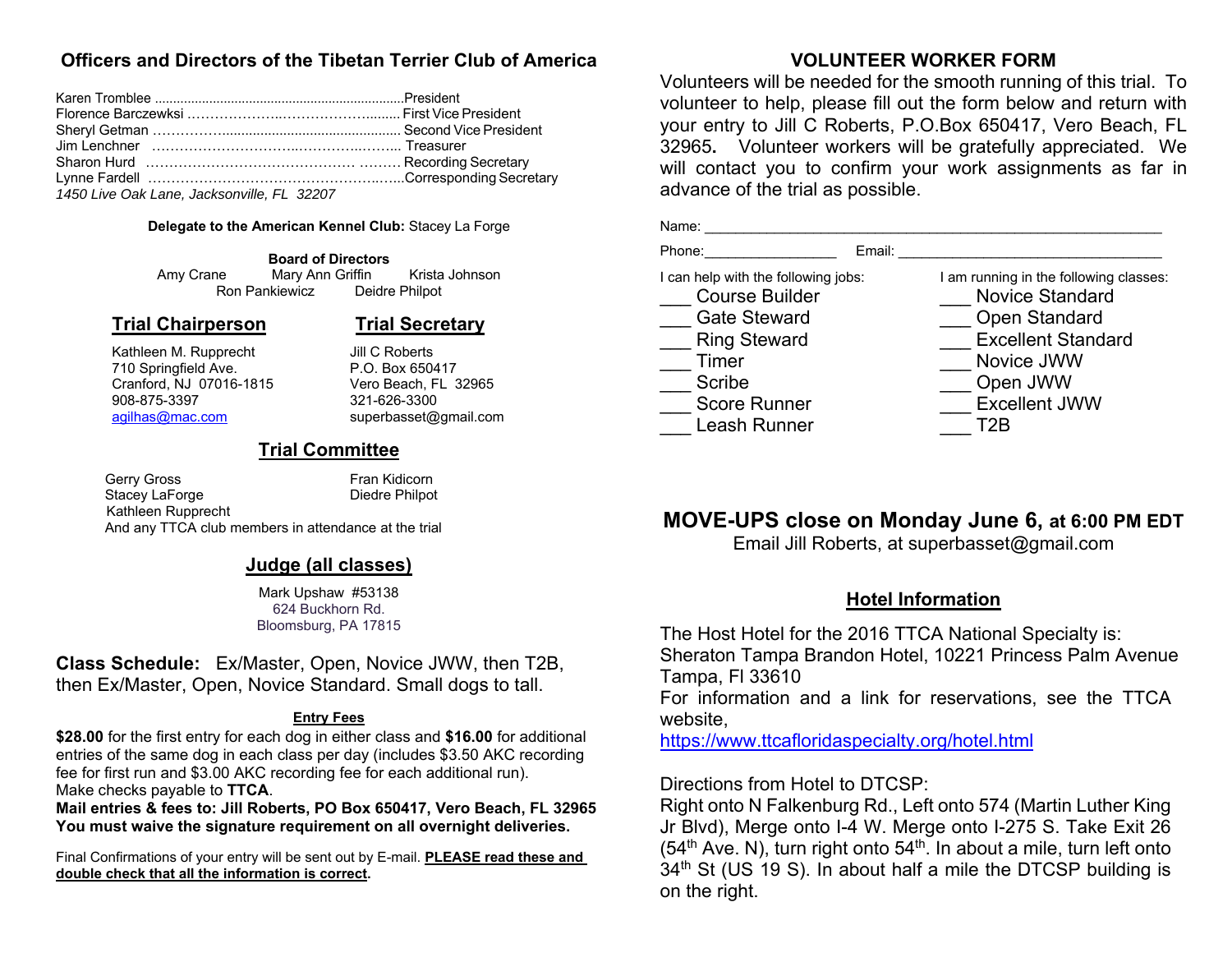# **Officers and Directors of the Tibetan Terrier Club of America**

| 1450 Live Oak Lane, Jacksonville, FL 32207 |  |
|--------------------------------------------|--|

### **Delegate to the American Kennel Club:** Stacey La Forge

**Board of Directors** Amy Crane Mary Ann Griffin Krista Johnson Ron Pankiewicz Deidre Philpot

### **Trial Chairperson Trial Secretary**

- Kathleen M. Rupprecht Jill C Roberts 710 Springfield Ave. P.O. Box 650417 Cranford, NJ 07016-1815 Vero Beach, FL 32965 908-875-3397 321-626-3300 agilhas@mac.com superbasset@gmail.com
	-

## **Trial Committee**

Gerry Gross **Fran Kidicorn** Stacey LaForge Diedre Philpot Kathleen Rupprecht And any TTCA club members in attendance at the trial

# **Judge (all classes)**

Mark Upshaw #53138 624 Buckhorn Rd. Bloomsburg, PA 17815

**Class Schedule:** Ex/Master, Open, Novice JWW, then T2B, then Ex/Master, Open, Novice Standard. Small dogs to tall.

### **Entry Fees**

**\$28.00** for the first entry for each dog in either class and **\$16.00** for additional entries of the same dog in each class per day (includes \$3.50 AKC recording fee for first run and \$3.00 AKC recording fee for each additional run). Make checks payable to **TTCA**.

**Mail entries & fees to: Jill Roberts, PO Box 650417, Vero Beach, FL 32965 You must waive the signature requirement on all overnight deliveries.** 

Final Confirmations of your entry will be sent out by E-mail. **PLEASE read these and double check that all the information is correct.** 

# **VOLUNTEER WORKER FORM**

Volunteers will be needed for the smooth running of this trial. To volunteer to help, please fill out the form below and return with your entry to Jill C Roberts, P.O.Box 650417, Vero Beach, FL 32965**.** Volunteer workers will be gratefully appreciated. We will contact you to confirm your work assignments as far in advance of the trial as possible.

| Name:                                                                                                                                                                              |        |                                                                                                                                                                         |
|------------------------------------------------------------------------------------------------------------------------------------------------------------------------------------|--------|-------------------------------------------------------------------------------------------------------------------------------------------------------------------------|
| Phone:                                                                                                                                                                             | Email: |                                                                                                                                                                         |
| I can help with the following jobs:<br><b>Course Builder</b><br><b>Gate Steward</b><br><b>Ring Steward</b><br>Timer<br><b>Scribe</b><br><b>Score Runner</b><br><b>Leash Runner</b> |        | I am running in the following classes:<br><b>Novice Standard</b><br><b>Open Standard</b><br><b>Excellent Standard</b><br>Novice JWW<br>Open JWW<br><b>Excellent JWW</b> |

# **MOVE-UPS close on Monday June 6, at 6:00 PM EDT**

Email Jill Roberts, at superbasset@gmail.com

# **Hotel Information**

The Host Hotel for the 2016 TTCA National Specialty is: Sheraton Tampa Brandon Hotel, 10221 Princess Palm Avenue Tampa, Fl 33610

For information and a link for reservations, see the TTCA website,

https://www.ttcafloridaspecialty.org/hotel.html

# Directions from Hotel to DTCSP:

Right onto N Falkenburg Rd., Left onto 574 (Martin Luther King Jr Blvd), Merge onto I-4 W. Merge onto I-275 S. Take Exit 26  $(54<sup>th</sup>$  Ave. N), turn right onto  $54<sup>th</sup>$ . In about a mile, turn left onto  $34<sup>th</sup>$  St (US 19 S). In about half a mile the DTCSP building is on the right.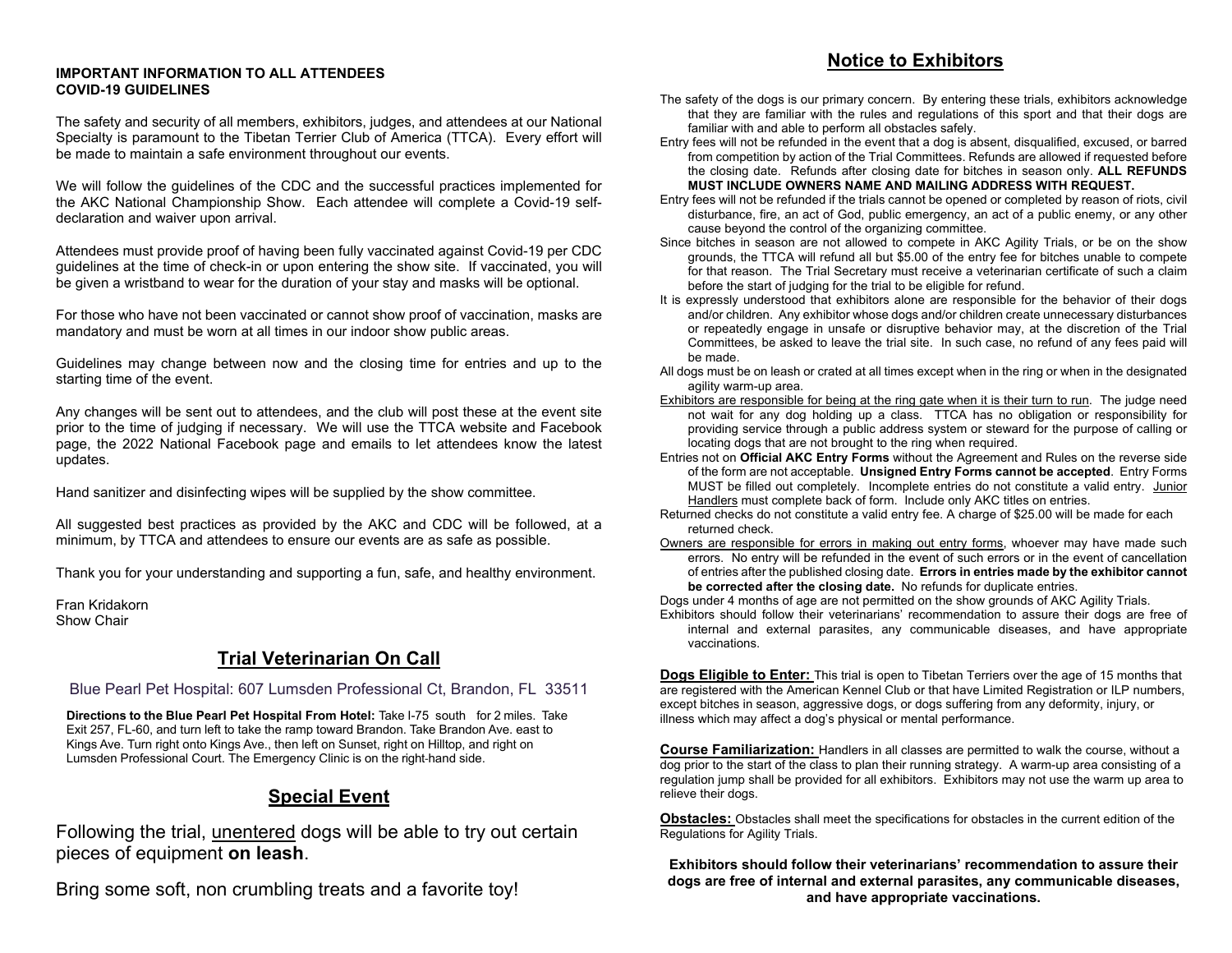#### **IMPORTANT INFORMATION TO ALL ATTENDEES COVID-19 GUIDELINES**

The safety and security of all members, exhibitors, judges, and attendees at our National Specialty is paramount to the Tibetan Terrier Club of America (TTCA). Every effort will be made to maintain a safe environment throughout our events.

We will follow the guidelines of the CDC and the successful practices implemented for the AKC National Championship Show. Each attendee will complete a Covid-19 selfdeclaration and waiver upon arrival.

Attendees must provide proof of having been fully vaccinated against Covid-19 per CDC guidelines at the time of check-in or upon entering the show site. If vaccinated, you will be given a wristband to wear for the duration of your stay and masks will be optional.

For those who have not been vaccinated or cannot show proof of vaccination, masks are mandatory and must be worn at all times in our indoor show public areas.

Guidelines may change between now and the closing time for entries and up to the starting time of the event.

Any changes will be sent out to attendees, and the club will post these at the event site prior to the time of judging if necessary. We will use the TTCA website and Facebook page, the 2022 National Facebook page and emails to let attendees know the latest updates.

Hand sanitizer and disinfecting wipes will be supplied by the show committee.

All suggested best practices as provided by the AKC and CDC will be followed, at a minimum, by TTCA and attendees to ensure our events are as safe as possible.

Thank you for your understanding and supporting a fun, safe, and healthy environment.

Fran KridakornShow Chair

# **Trial Veterinarian On Call**

### Blue Pearl Pet Hospital: 607 Lumsden Professional Ct, Brandon, FL 33511

**Directions to the Blue Pearl Pet Hospital From Hotel:** Take I-75 south for 2 miles. Take Exit 257, FL-60, and turn left to take the ramp toward Brandon. Take Brandon Ave. east to Kings Ave. Turn right onto Kings Ave., then left on Sunset, right on Hilltop, and right on Lumsden Professional Court. The Emergency Clinic is on the right‐hand side.

# **Special Event**

Following the trial, unentered dogs will be able to try out certain pieces of equipment **on leash**.

Bring some soft, non crumbling treats and a favorite toy!

# **Notice to Exhibitors**

- The safety of the dogs is our primary concern. By entering these trials, exhibitors acknowledge that they are familiar with the rules and regulations of this sport and that their dogs are familiar with and able to perform all obstacles safely.
- Entry fees will not be refunded in the event that a dog is absent, disqualified, excused, or barred from competition by action of the Trial Committees. Refunds are allowed if requested before the closing date. Refunds after closing date for bitches in season only. **ALL REFUNDS MUST INCLUDE OWNERS NAME AND MAILING ADDRESS WITH REQUEST.**
- Entry fees will not be refunded if the trials cannot be opened or completed by reason of riots, civil disturbance, fire, an act of God, public emergency, an act of a public enemy, or any other cause beyond the control of the organizing committee.
- Since bitches in season are not allowed to compete in AKC Agility Trials, or be on the show grounds, the TTCA will refund all but \$5.00 of the entry fee for bitches unable to compete for that reason. The Trial Secretary must receive a veterinarian certificate of such a claim before the start of judging for the trial to be eligible for refund.
- It is expressly understood that exhibitors alone are responsible for the behavior of their dogs and/or children. Any exhibitor whose dogs and/or children create unnecessary disturbances or repeatedly engage in unsafe or disruptive behavior may, at the discretion of the Trial Committees, be asked to leave the trial site. In such case, no refund of any fees paid will be made.
- All dogs must be on leash or crated at all times except when in the ring or when in the designated agility warm-up area.
- Exhibitors are responsible for being at the ring gate when it is their turn to run. The judge need not wait for any dog holding up a class. TTCA has no obligation or responsibility for providing service through a public address system or steward for the purpose of calling or locating dogs that are not brought to the ring when required.
- Entries not on **Official AKC Entry Forms** without the Agreement and Rules on the reverse side of the form are not acceptable. **Unsigned Entry Forms cannot be accepted**. Entry Forms MUST be filled out completely. Incomplete entries do not constitute a valid entry. Junior Handlers must complete back of form. Include only AKC titles on entries.
- Returned checks do not constitute a valid entry fee. A charge of \$25.00 will be made for each returned check.
- Owners are responsible for errors in making out entry forms, whoever may have made such errors. No entry will be refunded in the event of such errors or in the event of cancellation of entries after the published closing date. **Errors in entries made by the exhibitor cannot be corrected after the closing date.** No refunds for duplicate entries.
- Dogs under 4 months of age are not permitted on the show grounds of AKC Agility Trials.
- Exhibitors should follow their veterinarians' recommendation to assure their dogs are free of internal and external parasites, any communicable diseases, and have appropriate vaccinations.

**Dogs Eligible to Enter:** This trial is open to Tibetan Terriers over the age of 15 months that are registered with the American Kennel Club or that have Limited Registration or ILP numbers, except bitches in season, aggressive dogs, or dogs suffering from any deformity, injury, or illness which may affect a dog's physical or mental performance.

**Course Familiarization:** Handlers in all classes are permitted to walk the course, without a dog prior to the start of the class to plan their running strategy. A warm-up area consisting of a regulation jump shall be provided for all exhibitors. Exhibitors may not use the warm up area to relieve their dogs.

**Obstacles:** Obstacles shall meet the specifications for obstacles in the current edition of the Regulations for Agility Trials.

**Exhibitors should follow their veterinarians' recommendation to assure their dogs are free of internal and external parasites, any communicable diseases, and have appropriate vaccinations.**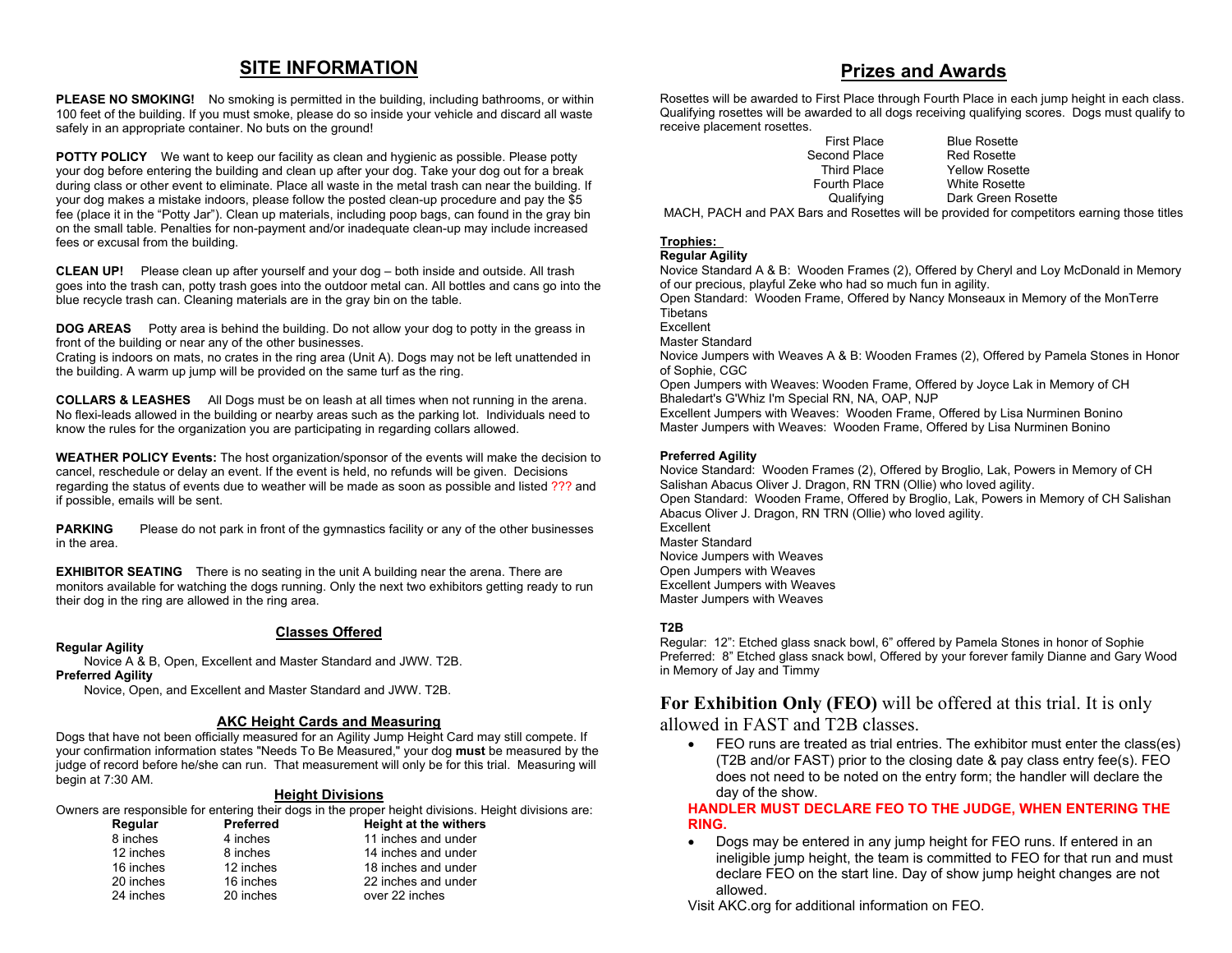### **SITE INFORMATION**

**PLEASE NO SMOKING!** No smoking is permitted in the building, including bathrooms, or within 100 feet of the building. If you must smoke, please do so inside your vehicle and discard all waste safely in an appropriate container. No buts on the ground!

**POTTY POLICY** We want to keep our facility as clean and hygienic as possible. Please potty your dog before entering the building and clean up after your dog. Take your dog out for a break during class or other event to eliminate. Place all waste in the metal trash can near the building. If your dog makes a mistake indoors, please follow the posted clean-up procedure and pay the \$5 fee (place it in the "Potty Jar"). Clean up materials, including poop bags, can found in the gray bin on the small table. Penalties for non-payment and/or inadequate clean-up may include increased fees or excusal from the building.

**CLEAN UP!** Please clean up after yourself and your dog – both inside and outside. All trash goes into the trash can, potty trash goes into the outdoor metal can. All bottles and cans go into the blue recycle trash can. Cleaning materials are in the gray bin on the table.

**DOG AREAS** Potty area is behind the building. Do not allow your dog to potty in the greass in front of the building or near any of the other businesses.

Crating is indoors on mats, no crates in the ring area (Unit A). Dogs may not be left unattended in the building. A warm up jump will be provided on the same turf as the ring.

**COLLARS & LEASHES** All Dogs must be on leash at all times when not running in the arena. No flexi-leads allowed in the building or nearby areas such as the parking lot. Individuals need to know the rules for the organization you are participating in regarding collars allowed.

**WEATHER POLICY Events:** The host organization/sponsor of the events will make the decision to cancel, reschedule or delay an event. If the event is held, no refunds will be given. Decisions regarding the status of events due to weather will be made as soon as possible and listed ??? and if possible, emails will be sent.

**PARKING** Please do not park in front of the gymnastics facility or any of the other businesses in the area.

**EXHIBITOR SEATING** There is no seating in the unit A building near the arena. There are monitors available for watching the dogs running. Only the next two exhibitors getting ready to run their dog in the ring are allowed in the ring area.

**Classes Offered**

#### **Regular Agility**

 Novice A & B, Open, Excellent and Master Standard and JWW. T2B. **Preferred Agility**

Novice, Open, and Excellent and Master Standard and JWW. T2B.

#### **AKC Height Cards and Measuring**

Dogs that have not been officially measured for an Agility Jump Height Card may still compete. If your confirmation information states "Needs To Be Measured," your dog **must** be measured by the judge of record before he/she can run. That measurement will only be for this trial. Measuring will begin at 7:30 AM.

### **Height Divisions**

| Owners are responsible for entering their dogs in the proper height divisions. Height divisions are: |                |                                         |  |
|------------------------------------------------------------------------------------------------------|----------------|-----------------------------------------|--|
| <b>B I</b>                                                                                           | <b>Bushama</b> | . I flat which we had a constant a com- |  |

| Regular   | <b>Preferred</b> | Height at the withers |  |
|-----------|------------------|-----------------------|--|
| 8 inches  | 4 inches         | 11 inches and under   |  |
| 12 inches | 8 inches         | 14 inches and under   |  |
| 16 inches | 12 inches        | 18 inches and under   |  |
| 20 inches | 16 inches        | 22 inches and under   |  |
| 24 inches | 20 inches        | over 22 inches        |  |
|           |                  |                       |  |

# **Prizes and Awards**

Rosettes will be awarded to First Place through Fourth Place in each jump height in each class. Qualifying rosettes will be awarded to all dogs receiving qualifying scores. Dogs must qualify to receive placement rosettes.

First Place Blue Rosette Second Place Red Rosette Third Place Yellow Rosette Fourth Place White Rosette Qualifying Dark Green Rosette

MACH, PACH and PAX Bars and Rosettes will be provided for competitors earning those titles

#### **Trophies:**

#### **Regular Agility**

Novice Standard A & B: Wooden Frames (2), Offered by Cheryl and Loy McDonald in Memory of our precious, playful Zeke who had so much fun in agility.

Open Standard: Wooden Frame, Offered by Nancy Monseaux in Memory of the MonTerre **Tibetans** 

Excellent

Master Standard

Novice Jumpers with Weaves A & B: Wooden Frames (2), Offered by Pamela Stones in Honor of Sophie, CGC

Open Jumpers with Weaves: Wooden Frame, Offered by Joyce Lak in Memory of CH Bhaledart's G'Whiz I'm Special RN, NA, OAP, NJP

Excellent Jumpers with Weaves: Wooden Frame, Offered by Lisa Nurminen Bonino Master Jumpers with Weaves: Wooden Frame, Offered by Lisa Nurminen Bonino

#### **Preferred Agility**

Novice Standard: Wooden Frames (2), Offered by Broglio, Lak, Powers in Memory of CH Salishan Abacus Oliver J. Dragon, RN TRN (Ollie) who loved agility. Open Standard: Wooden Frame, Offered by Broglio, Lak, Powers in Memory of CH Salishan Abacus Oliver J. Dragon, RN TRN (Ollie) who loved agility. Excellent Master Standard Novice Jumpers with Weaves Open Jumpers with Weaves Excellent Jumpers with Weaves Master Jumpers with Weaves

#### **T2B**

Regular: 12": Etched glass snack bowl, 6" offered by Pamela Stones in honor of Sophie Preferred: 8" Etched glass snack bowl, Offered by your forever family Dianne and Gary Wood in Memory of Jay and Timmy

# **For Exhibition Only (FEO)** will be offered at this trial. It is only

allowed in FAST and T2B classes.

 FEO runs are treated as trial entries. The exhibitor must enter the class(es) (T2B and/or FAST) prior to the closing date & pay class entry fee(s). FEO does not need to be noted on the entry form; the handler will declare the day of the show.

#### **HANDLER MUST DECLARE FEO TO THE JUDGE, WHEN ENTERING THE RING.**

• Dogs may be entered in any jump height for FEO runs. If entered in an ineligible jump height, the team is committed to FEO for that run and must declare FEO on the start line. Day of show jump height changes are not allowed.

Visit AKC.org for additional information on FEO.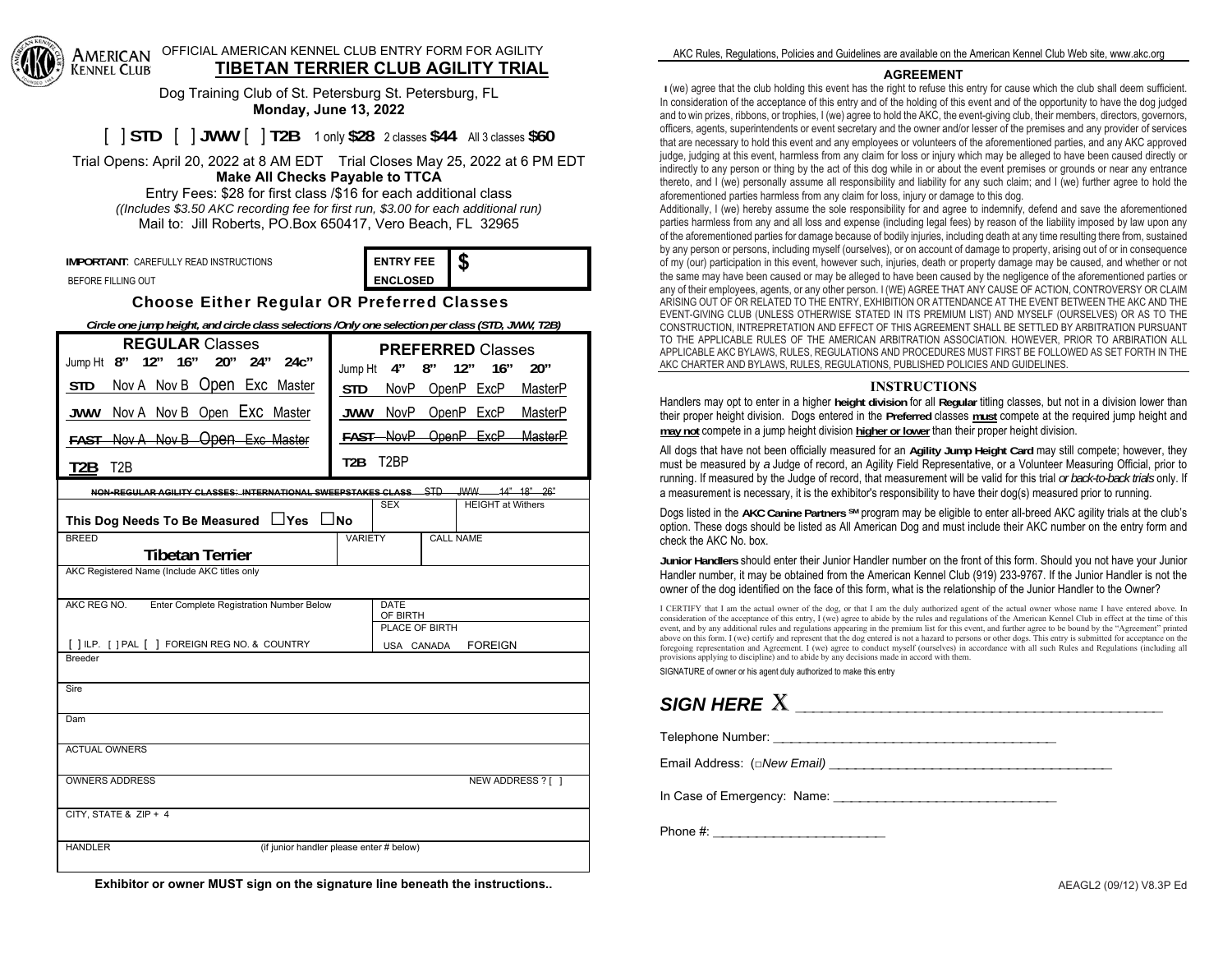

### OFFICIAL AMERICAN KENNEL CLUB ENTRY FORM FOR AGILITY**TIBETAN TERRIER CLUB AGILITY TRIAL**

Dog Training Club of St. Petersburg St. Petersburg, FL **Monday, June 13, 2022** 

[ ] **STD** [ ] **JWW** [ ] **T2B** 1 only **\$28** 2 classes **\$44** All 3 classes **\$60** 

Trial Opens: April 20, 2022 at 8 AM EDT Trial Closes May 25, 2022 at 6 PM EDT **Make All Checks Payable to TTCA**

Entry Fees: \$28 for first class /\$16 for each additional class *((Includes \$3.50 AKC recording fee for first run, \$3.00 for each additional run)* 

Mail to: Jill Roberts, PO.Box 650417, Vero Beach, FL 32965

**IMPORTANT**: CAREFULLY READ INSTRUCTIONSBEFORE FILLING OUT

| <b>ENTRY FEE</b> |  |
|------------------|--|
| <b>ENCLOSED</b>  |  |

### Choose Either Regular OR Preferred Classes

*Circle one jump height, and circle class selections /Only one selection per class (STD, JWW, T2B)*

| <b>REGULAR Classes</b>                                                                                    | <b>PREFERRED Classes</b>                            |  |  |
|-----------------------------------------------------------------------------------------------------------|-----------------------------------------------------|--|--|
| 20"<br>Jump Ht 8" 12"<br>24"<br>24c''<br>16"                                                              | 4"<br>8″<br>12"<br>16"<br>20"<br>Jump Ht            |  |  |
| Nov A Nov B Open Exc Master<br><b>STD</b>                                                                 | <b>STD</b><br>NovP<br>OpenP ExcP<br>MasterP         |  |  |
| Nov A Nov B Open Exc Master<br><b>JWW</b>                                                                 | <b>JWW</b><br>NovP<br>OpenP ExcP<br>MasterP         |  |  |
| Open Exc Master<br>Nov A Nov B<br><b>FAST</b>                                                             | NovP <sub></sub><br>OpenP ExcP<br>MasterP<br>FAST   |  |  |
| T2B<br>T <sub>2</sub> B                                                                                   | T <sub>2</sub> BP<br>T2B                            |  |  |
| -STD-<br><b>JWW</b><br>$-14"$ $18"$ $26"$<br>NON-REGULAR AGILITY CLASSES: INTERNATIONAL SWEEPSTAKES CLASS |                                                     |  |  |
| This Dog Needs To Be Measured □ Yes                                                                       | <b>SEX</b><br><b>HEIGHT at Withers</b><br>$\Box$ No |  |  |
| <b>BREED</b>                                                                                              | <b>VARIETY</b><br><b>CALL NAME</b>                  |  |  |
| <b>Tibetan Terrier</b>                                                                                    |                                                     |  |  |
| AKC Registered Name (Include AKC titles only                                                              |                                                     |  |  |
| AKC REG NO.<br>Enter Complete Registration Number Below                                                   | <b>DATE</b>                                         |  |  |
| OF BIRTH<br>PLACE OF BIRTH                                                                                |                                                     |  |  |
| [ ] ILP. [ ] PAL [ ] FOREIGN REG NO. & COUNTRY<br><b>FOREIGN</b><br>USA CANADA                            |                                                     |  |  |
| <b>Breeder</b>                                                                                            |                                                     |  |  |
| Sire                                                                                                      |                                                     |  |  |
|                                                                                                           |                                                     |  |  |
| Dam                                                                                                       |                                                     |  |  |
| <b>ACTUAL OWNERS</b>                                                                                      |                                                     |  |  |
| <b>OWNERS ADDRESS</b>                                                                                     | NEW ADDRESS ? [ ]                                   |  |  |
|                                                                                                           |                                                     |  |  |
| CITY, STATE & ZIP + 4                                                                                     |                                                     |  |  |
| <b>HANDLER</b>                                                                                            | (if junior handler please enter # below)            |  |  |

AKC Rules, Regulations, Policies and Guidelines are available on the American Kennel Club Web site, www.akc.org

#### **AGREEMENT**

**I** (we) agree that the club holding this event has the right to refuse this entry for cause which the club shall deem sufficient. In consideration of the acceptance of this entry and of the holding of this event and of the opportunity to have the dog judged and to win prizes, ribbons, or trophies, I (we) agree to hold the AKC, the event-giving club, their members, directors, governors, officers, agents, superintendents or event secretary and the owner and/or lesser of the premises and any provider of services that are necessary to hold this event and any employees or volunteers of the aforementioned parties, and any AKC approved judge, judging at this event, harmless from any claim for loss or injury which may be alleged to have been caused directly or indirectly to any person or thing by the act of this dog while in or about the event premises or grounds or near any entrance thereto, and I (we) personally assume all responsibility and liability for any such claim; and I (we) further agree to hold the aforementioned parties harmless from any claim for loss, injury or damage to this dog.

Additionally, I (we) hereby assume the sole responsibility for and agree to indemnify, defend and save the aforementioned parties harmless from any and all loss and expense (including legal fees) by reason of the liability imposed by law upon any of the aforementioned parties for damage because of bodily injuries, including death at any time resulting there from, sustained by any person or persons, including myself (ourselves), or on account of damage to property, arising out of or in consequence of my (our) participation in this event, however such, injuries, death or property damage may be caused, and whether or not the same may have been caused or may be alleged to have been caused by the negligence of the aforementioned parties or any of their employees, agents, or any other person. I (WE) AGREE THAT ANY CAUSE OF ACTION, CONTROVERSY OR CLAIM ARISING OUT OF OR RELATED TO THE ENTRY, EXHIBITION OR ATTENDANCE AT THE EVENT BETWEEN THE AKC AND THE EVENT-GIVING CLUB (UNLESS OTHERWISE STATED IN ITS PREMIUM LIST) AND MYSELF (OURSELVES) OR AS TO THE CONSTRUCTION, INTREPRETATION AND EFFECT OF THIS AGREEMENT SHALL BE SETTLED BY ARBITRATION PURSUANT TO THE APPLICABLE RULES OF THE AMERICAN ARBITRATION ASSOCIATION. HOWEVER, PRIOR TO ARBIRATION ALL APPLICABLE AKC BYLAWS, RULES, REGULATIONS AND PROCEDURES MUST FIRST BE FOLLOWED AS SET FORTH IN THE AKC CHARTER AND BYLAWS, RULES, REGULATIONS, PUBLISHED POLICIES AND GUIDELINES.

#### **INSTRUCTIONS**

Handlers may opt to enter in a higher **height division** for all **Regular** titling classes, but not in a division lower than their proper height division. Dogs entered in the **Preferred** classes **must** compete at the required jump height and **may not** compete in a jump height division **higher or lower** than their proper height division.

All dogs that have not been officially measured for an **Agility Jump Height Card** may still compete; however, they must be measured by *a* Judge of record, an Agility Field Representative, or a Volunteer Measuring Official, prior to running. If measured by the Judge of record, that measurement will be valid for this trial *or back-to-back trials* only. If a measurement is necessary, it is the exhibitor's responsibility to have their dog(s) measured prior to running.

Dogs listed in the **AKC Canine Partners SM** program may be eligible to enter all-breed AKC agility trials at the club's option. These dogs should be listed as All American Dog and must include their AKC number on the entry form and check the AKC No. box.

**Junior Handlers** should enter their Junior Handler number on the front of this form. Should you not have your Junior Handler number, it may be obtained from the American Kennel Club (919) 233-9767. If the Junior Handler is not the owner of the dog identified on the face of this form, what is the relationship of the Junior Handler to the Owner?

I CERTIFY that I am the actual owner of the dog, or that I am the duly authorized agent of the actual owner whose name I have entered above. In consideration of the acceptance of this entry, I (we) agree to abide by the rules and regulations of the American Kennel Club in effect at the time of this event, and by any additional rules and regulations appearing in the premium list for this event, and further agree to be bound by the "Agreement" printed above on this form. I (we) certify and represent that the dog entered is not a hazard to persons or other dogs. This entry is submitted for acceptance on the foregoing representation and Agreement. I (we) agree to conduct myself (ourselves) in accordance with all such Rules and Regulations (including all provisions applying to discipline) and to abide by any decisions made in accord with them.

**\_\_\_\_\_\_\_\_\_\_\_\_\_\_\_\_\_\_\_\_\_\_\_\_\_\_\_\_\_\_\_\_\_\_\_\_\_\_\_\_\_\_\_**

SIGNATURE of owner or his agent duly authorized to make this entry

# *SIGN HERE* X

Telephone Number: *All and Series Series Series Series Series Series Series Series* **Series Series Series Series Series Series Series Series Series Series Series Series Series Series Series Series Series Series Series Seri** 

Email Address: (□*New Email)* **\_\_\_\_\_\_\_\_\_\_\_\_\_\_\_\_\_\_\_\_\_\_\_\_\_\_\_\_\_\_\_\_\_**

In Case of Emergency: Name:

Phone #: **\_\_\_\_\_\_\_\_\_\_\_\_\_\_\_\_\_\_\_\_**

**Exhibitor or owner MUST sign on the signature line beneath the instructions..**